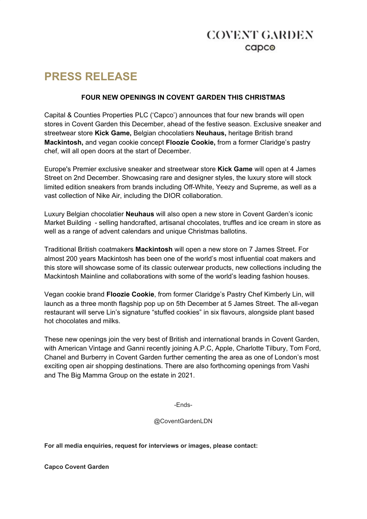# **COVENT GARDEN**  $c$ apc $\odot$

# **PRESS RELEASE**

### **FOUR NEW OPENINGS IN COVENT GARDEN THIS CHRISTMAS**

Capital & Counties Properties PLC ('Capco') announces that four new brands will open stores in Covent Garden this December, ahead of the festive season. Exclusive sneaker and streetwear store **Kick Game,** Belgian chocolatiers **Neuhaus,** heritage British brand **Mackintosh,** and vegan cookie concept **Floozie Cookie,** from a former Claridge's pastry chef, will all open doors at the start of December.

Europe's Premier exclusive sneaker and streetwear store **Kick Game** will open at 4 James Street on 2nd December. Showcasing rare and designer styles, the luxury store will stock limited edition sneakers from brands including Off-White, Yeezy and Supreme, as well as a vast collection of Nike Air, including the DIOR collaboration.

Luxury Belgian chocolatier **Neuhaus** will also open a new store in Covent Garden's iconic Market Building - selling handcrafted, artisanal chocolates, truffles and ice cream in store as well as a range of advent calendars and unique Christmas ballotins.

Traditional British coatmakers **Mackintosh** will open a new store on 7 James Street. For almost 200 years Mackintosh has been one of the world's most influential coat makers and this store will showcase some of its classic outerwear products, new collections including the Mackintosh Mainline and collaborations with some of the world's leading fashion houses.

Vegan cookie brand **Floozie Cookie**, from former Claridge's Pastry Chef Kimberly Lin, will launch as a three month flagship pop up on 5th December at 5 James Street. The all-vegan restaurant will serve Lin's signature "stuffed cookies" in six flavours, alongside plant based hot chocolates and milks.

These new openings join the very best of British and international brands in Covent Garden, with American Vintage and Ganni recently joining A.P.C, Apple, Charlotte Tilbury, Tom Ford, Chanel and Burberry in Covent Garden further cementing the area as one of London's most exciting open air shopping destinations. There are also forthcoming openings from Vashi and The Big Mamma Group on the estate in 2021.

-Ends-

@CoventGardenLDN

**For all media enquiries, request for interviews or images, please contact:**

**Capco Covent Garden**